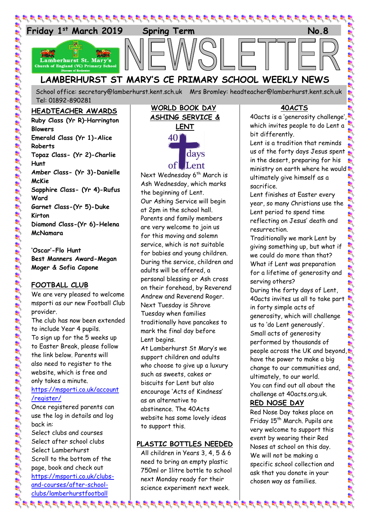

School office: [secretary@lamberhurst.kent.sch.uk](mailto:secretary@lamberhurst.kent.sch.uk) Mrs Bromley: headteacher@lamberhurst.kent.sch.uk Tel: 01892-890281

#### **HEADTEACHER AWARDS**

**Ruby Class (Yr R)–Harrington Blowers Emerald Class (Yr 1)-Alice Roberts Topaz Class- (Yr 2)-Charlie Hunt Amber Class- (Yr 3)-Danielle McKie Sapphire Class- (Yr 4)-Rufus Ward Garnet Class-(Yr 5)-Duke Kirton Diamond Class-(Yr 6)-Helena McNamara**

**'Oscar'-Flo Hunt Best Manners Award-Megan Moger & Sofia Capone**

#### **FOOTBALL CLUB**

We are very pleased to welcome msporti as our new Football Club provider. The club has now been extended to include Year 4 pupils. To sign up for the 5 weeks up to Easter Break, please follow the link below. Parents will also need to register to the website, which is free and only takes a minute. [https://msporti.co.uk/account](https://msporti.co.uk/account/register/) [/register/](https://msporti.co.uk/account/register/)

Once registered parents can use the log in details and log back in:

Select clubs and courses Select after school clubs Select Lamberhurst Scroll to the bottom of the page, book and check out [https://msporti.co.uk/clubs](https://msporti.co.uk/clubs-and-courses/after-school-clubs/lamberhurstfootball)[and-courses/after-school](https://msporti.co.uk/clubs-and-courses/after-school-clubs/lamberhurstfootball)[clubs/lamberhurstfootball](https://msporti.co.uk/clubs-and-courses/after-school-clubs/lamberhurstfootball)

# **WORLD BOOK DAY ASHING SERVICE & LENT** 40 days of lLent

Next Wednesday 6<sup>th</sup> March is Ash Wednesday, which marks the beginning of Lent. Our Ashing Service will begin at 2pm in the school hall. Parents and family members are very welcome to join us for this moving and solemn service, which is not suitable for babies and young children. During the service, children and adults will be offered, a personal blessing or Ash cross on their forehead, by Reverend Andrew and Reverend Roger. Next Tuesday is Shrove Tuesday when families traditionally have pancakes to mark the final day before Lent begins.

At Lamberhurst St Mary's we support children and adults who choose to give up a luxury such as sweets, cakes or biscuits for Lent but also encourage 'Acts of Kindness' as an alternative to abstinence. The 40Acts website has some lovely ideas to support this.

## **PLASTIC BOTTLES NEEDED**

All children in Years 3, 4, 5 & 6 need to bring an empty plastic 750ml or 1litre bottle to school next Monday ready for their science experiment next week.

 $\mathcal{A}$  is a graph of a graph of a graph of a graph of a graph of a graph of a graph of a graph of a graph of

#### **40ACTS**

40acts is a 'generosity challenge', which invites people to do Lent a bit differently.

Lent is a tradition that reminds us of the forty days Jesus spent in the desert, preparing for his ministry on earth where he would ultimately give himself as a sacrifice.

Lent finishes at Easter every year, so many Christians use the Lent period to spend time reflecting on Jesus' death and resurrection.

Traditionally we mark Lent by giving something up, but what if we could do more than that? What if Lent was preparation for a lifetime of generosity and serving others?

During the forty days of Lent, 40acts invites us all to take part in forty simple acts of generosity, which will challenge us to 'do Lent generously'. Small acts of generosity performed by thousands of people across the UK and beyond, have the power to make a big change to our communities and, ultimately, to our world. You can find out all about the challenge at 40acts.org.uk.

# **RED NOSE DAY**

Red Nose Day takes place on Friday 15<sup>th</sup> March. Pupils are very welcome to support this event by wearing their Red Noses at school on this day. We will not be making a specific school collection and ask that you donate in your chosen way as families.

いんこうしん いちん いちんだい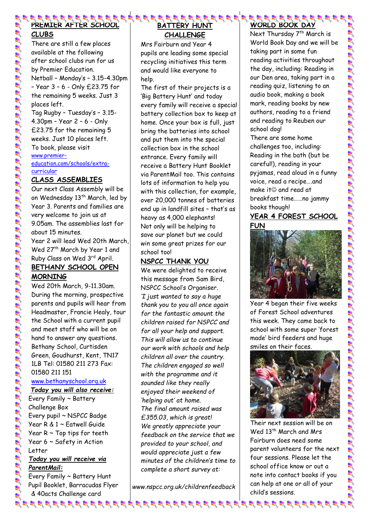# **PREMIER AFTER SCHOOL**

# **CLUBS**

There are still a few places available at the following after school clubs run for us by Premier Education. Netball – Monday's – 3.15-4.30pm – Year 3 – 6 - Only £23.75 for the remaining 5 weeks. Just 3 places left. Tag Rugby – Tuesday's – 3.15- 4.30pm – Year 2 – 6 - Only

£23.75 for the remaining 5 weeks. Just 10 places left. To book, please visit [www.premier](http://www.premier-education.com/schools/extra-curricular)[education.com/schools/extra](http://www.premier-education.com/schools/extra-curricular)[curricular](http://www.premier-education.com/schools/extra-curricular)

## **CLASS ASSEMBLIES**

e faite to the faith of the faith of the faith of the faith of the faith of the faith of the faith of the faith of the faith of the faith of the faith of the faith of the faith of the faith of the faith of the faith of the

Our next Class Assembly will be on Wednesday 13<sup>th</sup> March, led by Year 3. Parents and families are very welcome to join us at 9.05am. The assemblies last for about 15 minutes. Year 2 will lead Wed 20th March, Wed 27<sup>th</sup> March by Year 1 and Ruby Class on Wed 3<sup>rd</sup> April. **BETHANY SCHOOL OPEN MORNING** 

Wed 20th March, 9-11.30am. During the morning, prospective parents and pupils will hear from Headmaster, Francie Healy, tour the School with a current pupil and meet staff who will be on hand to answer any questions. Bethany School, Curtisden Green, Goudhurst, Kent, TN17 1LB Tel: 01580 211 273 Fax: 01580 211 151 [www.bethanyschool.org.uk](http://www.bethanyschool.org.uk/)

*Today you will also receive:*

Every Family ~ Battery Challenge Box Every pupil ~ NSPCC Badge Year R & 1 ~ Eatwell Guide Year  $R \sim Top$  tips for teeth Year 6 ~ Safety in Action Letter

### *Today you will receive via ParentMail:*

Every Family ~ Battery Hunt Pupil Booklet, Barracudas Flyer & 40acts Challenge card

## 8 8 8 8 9 9 8 8 8 9 8 9 1 **BATTERY HUNT CHALLENGE**

Mrs Fairburn and Year 4 pupils are leading some special recycling initiatives this term and would like everyone to help.

The first of their projects is a 'Big Battery Hunt' and today every family will receive a special battery collection box to keep at home. Once your box is full, just bring the batteries into school and put them into the special collection box in the school entrance. Every family will receive a Battery Hunt Booklet via ParentMail too. This contains lots of information to help you with this collection, for example, over 20,000 tonnes of batteries end up in landfill sites – that's as heavy as 4,000 elephants! Not only will be helping to save our planet but we could win some great prizes for our school too!

# **NSPCC THANK YOU**

We were delighted to receive this message from Sam Bird, NSPCC School's Organiser. *'I just wanted to say a huge thank you to you all once again for the fantastic amount the children raised for NSPCC and for all your help and support. This will allow us to continue our work with schools and help children all over the country. The children engaged so well with the programme and it sounded like they really enjoyed their weekend of 'helping out' at home. The final amount raised was £355.03, which is great! We greatly appreciate your feedback on the service that we provided to your school, and would appreciate just a few minutes of the children's time to complete a short survey at:*

*www.nspcc.org.uk/childrenfeedback*

क्ष के कि प्राथ के लिए के बाद के बाद के बाद के बाद के बाद के बाद के बाद के बाद के बाद के बाद के बाद के बाद के

# **WORLD BOOK DA**

Next Thursday 7<sup>th</sup> March is World Book Day and we will be taking part in some fun reading activities throughout the day, including: Reading in our Den area, taking part in a reading quiz, listening to an audio book, making a book mark, reading books by new authors, reading to a friend and reading to Reuben our school dog!

There are some home challenges too, including: Reading in the bath (but be careful!), reading in your pyjamas, read aloud in a funny voice, read a recipe….and make it $\odot$  and read at breakfast time……no jammy books though!

## **YEAR 4 FOREST SCHOOL FUN**



Year 4 began their five weeks of Forest School adventures this week. They came back to school with some super 'forest made' bird feeders and huge smiles on their faces.



Their next session will be on Wed 13<sup>th</sup> March and Mrs Fairburn does need some parent volunteers for the next four sessions. Please let the school office know or out a note into contact books if you can help at one or all of your child's sessions.